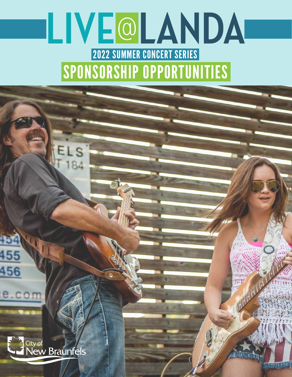# **LIVE**@ 2022 SUMMER CONCERT SERIES SPONSORSHIP OPPORTUNITIES



455

456

e.com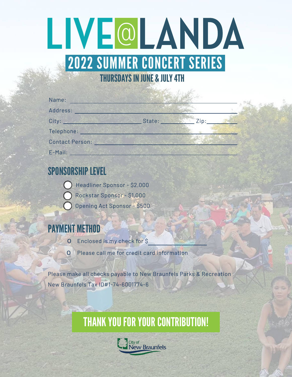# THURSDAYS IN JUNE & JULY 4TH 2022 SUMMER CONCERT SERIES **LIVE**@

| Name:                  |        |      |  |
|------------------------|--------|------|--|
| Address:               |        |      |  |
| City:                  | State: | Zip: |  |
| Telephone:             |        |      |  |
| <b>Contact Person:</b> |        |      |  |
| E-Mail:                |        |      |  |

### SPONSORSHIP LEVEL

Headliner Sponsor - \$2,000

Rockstar Sponsor - \$1,000

Opening Act Sponsor - \$500

## **MENT METHOD**

- o Enclosed is my check for \$
- o Please call me for credit card information

Please make all checks payable to New Braunfels Parks & Recreation New Braunfels Tax ID#1-74-6001774-6

# THANK YOU FOR YOUR CONTRIBUTION!